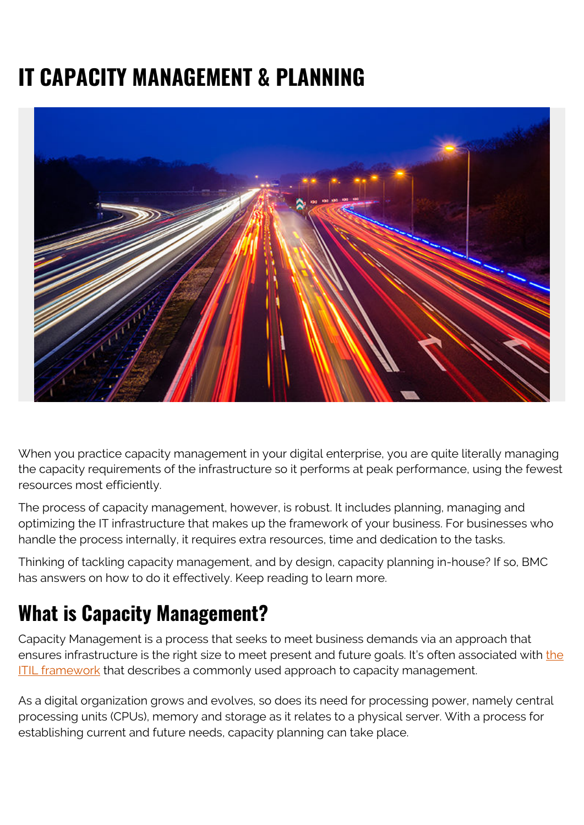# **IT CAPACITY MANAGEMENT & PLANNING**



When you practice capacity management in your digital enterprise, you are quite literally managing the capacity requirements of the infrastructure so it performs at peak performance, using the fewest resources most efficiently.

The process of capacity management, however, is robust. It includes planning, managing and optimizing the IT infrastructure that makes up the framework of your business. For businesses who handle the process internally, it requires extra resources, time and dedication to the tasks.

Thinking of tackling capacity management, and by design, capacity planning in-house? If so, BMC has answers on how to do it effectively. Keep reading to learn more.

### **What is Capacity Management?**

Capacity Management is a process that seeks to meet business demands via an approach that ensures infrastructure is [the](https://blogs.bmc.com/blogs/itil-4/) right size to meet present and future goals. It's often associated with the [ITIL framework](https://blogs.bmc.com/blogs/itil-4/) that describes a commonly used approach to capacity management.

As a digital organization grows and evolves, so does its need for processing power, namely central processing units (CPUs), memory and storage as it relates to a physical server. With a process for establishing current and future needs, capacity planning can take place.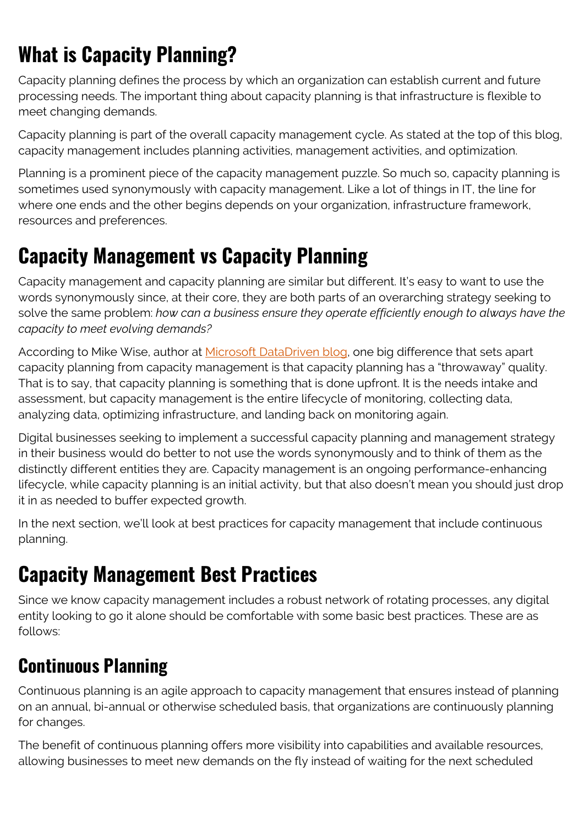# **What is Capacity Planning?**

Capacity planning defines the process by which an organization can establish current and future processing needs. The important thing about capacity planning is that infrastructure is flexible to meet changing demands.

Capacity planning is part of the overall capacity management cycle. As stated at the top of this blog, capacity management includes planning activities, management activities, and optimization.

Planning is a prominent piece of the capacity management puzzle. So much so, capacity planning is sometimes used synonymously with capacity management. Like a lot of things in IT, the line for where one ends and the other begins depends on your organization, infrastructure framework, resources and preferences.

### **Capacity Management vs Capacity Planning**

Capacity management and capacity planning are similar but different. It's easy to want to use the words synonymously since, at their core, they are both parts of an overarching strategy seeking to solve the same problem: *how can a business ensure they operate efficiently enough to always have the capacity to meet evolving demands?*

According to Mike Wise, author at [Microsoft DataDriven blog](https://blogs.technet.microsoft.com/mike_wise/2010/04/14/capacity-management-vs-capacity-planning/), one big difference that sets apart capacity planning from capacity management is that capacity planning has a "throwaway" quality. That is to say, that capacity planning is something that is done upfront. It is the needs intake and assessment, but capacity management is the entire lifecycle of monitoring, collecting data, analyzing data, optimizing infrastructure, and landing back on monitoring again.

Digital businesses seeking to implement a successful capacity planning and management strategy in their business would do better to not use the words synonymously and to think of them as the distinctly different entities they are. Capacity management is an ongoing performance-enhancing lifecycle, while capacity planning is an initial activity, but that also doesn't mean you should just drop it in as needed to buffer expected growth.

In the next section, we'll look at best practices for capacity management that include continuous planning.

## **Capacity Management Best Practices**

Since we know capacity management includes a robust network of rotating processes, any digital entity looking to go it alone should be comfortable with some basic best practices. These are as follows:

### **Continuous Planning**

Continuous planning is an agile approach to capacity management that ensures instead of planning on an annual, bi-annual or otherwise scheduled basis, that organizations are continuously planning for changes.

The benefit of continuous planning offers more visibility into capabilities and available resources, allowing businesses to meet new demands on the fly instead of waiting for the next scheduled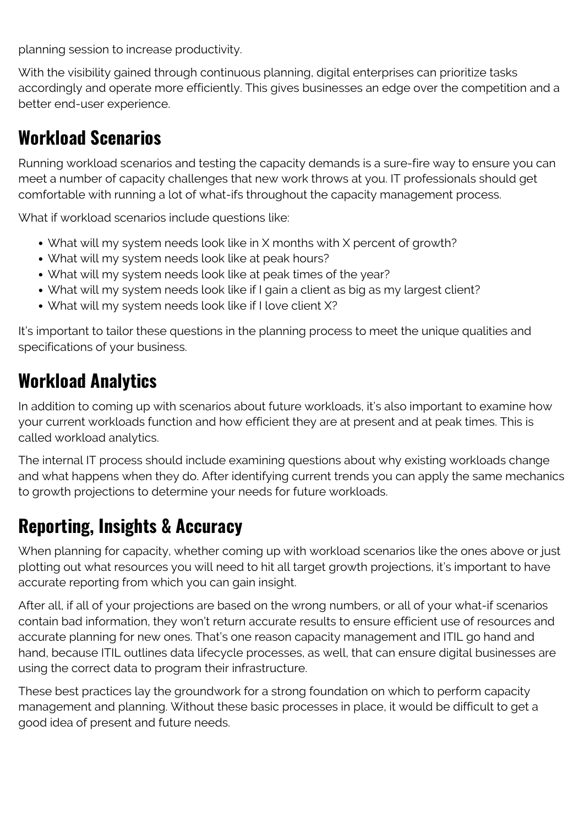planning session to increase productivity.

With the visibility gained through continuous planning, digital enterprises can prioritize tasks accordingly and operate more efficiently. This gives businesses an edge over the competition and a better end-user experience.

### **Workload Scenarios**

Running workload scenarios and testing the capacity demands is a sure-fire way to ensure you can meet a number of capacity challenges that new work throws at you. IT professionals should get comfortable with running a lot of what-ifs throughout the capacity management process.

What if workload scenarios include questions like:

- What will my system needs look like in X months with X percent of growth?
- What will my system needs look like at peak hours?
- What will my system needs look like at peak times of the year?
- What will my system needs look like if I gain a client as big as my largest client?
- What will my system needs look like if I love client X?

It's important to tailor these questions in the planning process to meet the unique qualities and specifications of your business.

### **Workload Analytics**

In addition to coming up with scenarios about future workloads, it's also important to examine how your current workloads function and how efficient they are at present and at peak times. This is called workload analytics.

The internal IT process should include examining questions about why existing workloads change and what happens when they do. After identifying current trends you can apply the same mechanics to growth projections to determine your needs for future workloads.

### **Reporting, Insights & Accuracy**

When planning for capacity, whether coming up with workload scenarios like the ones above or just plotting out what resources you will need to hit all target growth projections, it's important to have accurate reporting from which you can gain insight.

After all, if all of your projections are based on the wrong numbers, or all of your what-if scenarios contain bad information, they won't return accurate results to ensure efficient use of resources and accurate planning for new ones. That's one reason capacity management and ITIL go hand and hand, because ITIL outlines data lifecycle processes, as well, that can ensure digital businesses are using the correct data to program their infrastructure.

These best practices lay the groundwork for a strong foundation on which to perform capacity management and planning. Without these basic processes in place, it would be difficult to get a good idea of present and future needs.